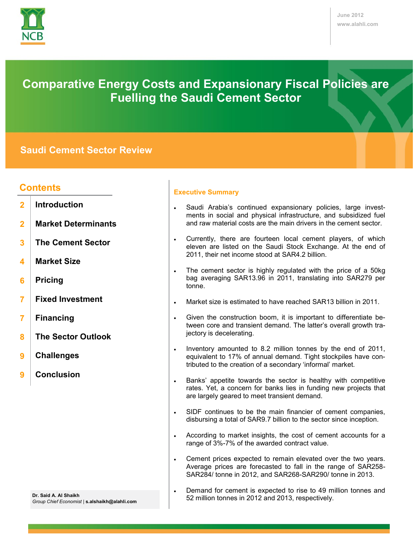

# **Comparative Energy Costs and Expansionary Fiscal Policies are Fuelling the Saudi Cement Sector**

# **Saudi Cement Sector Review**

# **Contents**

- **Introduction 2**
- **Market Determinants 2**
- **The Cement Sector 3**
- **Market Size 4**
- **Pricing 6**
- **Fixed Investment 7**
- **Financing 7**
- **The Sector Outlook 8**
- **Challenges 9**
- **Conclusion 9**

## **Executive Summary**

- Saudi Arabia's continued expansionary policies, large investments in social and physical infrastructure, and subsidized fuel and raw material costs are the main drivers in the cement sector.
- Currently, there are fourteen local cement players, of which eleven are listed on the Saudi Stock Exchange. At the end of 2011, their net income stood at SAR4.2 billion.
- . The cement sector is highly regulated with the price of a 50kg bag averaging SAR13.96 in 2011, translating into SAR279 per tonne.
- Market size is estimated to have reached SAR13 billion in 2011.
- Given the construction boom, it is important to differentiate between core and transient demand. The latter's overall growth trajectory is decelerating.
- Inventory amounted to 8.2 million tonnes by the end of 2011, equivalent to 17% of annual demand. Tight stockpiles have contributed to the creation of a secondary 'informal' market.
- Banks' appetite towards the sector is healthy with competitive rates. Yet, a concern for banks lies in funding new projects that are largely geared to meet transient demand.
- SIDF continues to be the main financier of cement companies, disbursing a total of SAR9.7 billion to the sector since inception.
- According to market insights, the cost of cement accounts for a range of 3%-7% of the awarded contract value.
- Cement prices expected to remain elevated over the two years. Average prices are forecasted to fall in the range of SAR258- SAR284/ tonne in 2012, and SAR268-SAR290/ tonne in 2013.
- **Dr. Said A. Al Shaikh** *Group Chief Economist* | **s.alshaikh@alahli.com**
- Demand for cement is expected to rise to 49 million tonnes and 52 million tonnes in 2012 and 2013, respectively.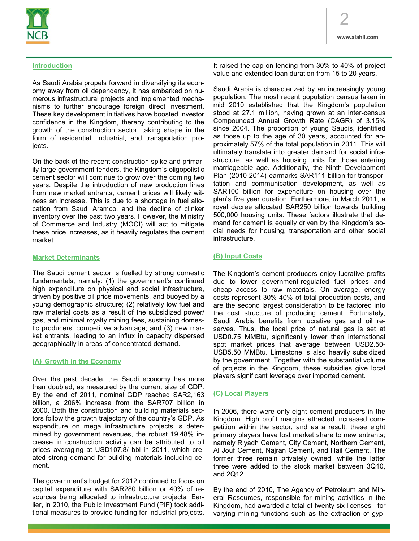

# **Introduction**

As Saudi Arabia propels forward in diversifying its economy away from oil dependency, it has embarked on numerous infrastructural projects and implemented mechanisms to further encourage foreign direct investment. These key development initiatives have boosted investor confidence in the Kingdom, thereby contributing to the growth of the construction sector, taking shape in the form of residential, industrial, and transportation projects.

On the back of the recent construction spike and primarily large government tenders, the Kingdom's oligopolistic cement sector will continue to grow over the coming two years. Despite the introduction of new production lines from new market entrants, cement prices will likely witness an increase. This is due to a shortage in fuel allocation from Saudi Aramco, and the decline of clinker inventory over the past two years. However, the Ministry of Commerce and Industry (MOCI) will act to mitigate these price increases, as it heavily regulates the cement market.

## **Market Determinants**

The Saudi cement sector is fuelled by strong domestic fundamentals, namely: (1) the government's continued high expenditure on physical and social infrastructure, driven by positive oil price movements, and buoyed by a young demographic structure; (2) relatively low fuel and raw material costs as a result of the subsidized power/ gas, and minimal royalty mining fees, sustaining domestic producers' competitive advantage; and (3) new market entrants, leading to an influx in capacity dispersed geographically in areas of concentrated demand.

## **(A) Growth in the Economy**

Over the past decade, the Saudi economy has more than doubled, as measured by the current size of GDP. By the end of 2011, nominal GDP reached SAR2,163 billion, a 206% increase from the SAR707 billion in 2000. Both the construction and building materials sectors follow the growth trajectory of the country's GDP. As expenditure on mega infrastructure projects is determined by government revenues, the robust 19.48% increase in construction activity can be attributed to oil prices averaging at USD107.8/ bbl in 2011, which created strong demand for building materials including cement.

The government's budget for 2012 continued to focus on capital expenditure with SAR280 billion or 40% of resources being allocated to infrastructure projects. Earlier, in 2010, the Public Investment Fund (PIF) took additional measures to provide funding for industrial projects. It raised the cap on lending from 30% to 40% of project value and extended loan duration from 15 to 20 years.

Saudi Arabia is characterized by an increasingly young population. The most recent population census taken in mid 2010 established that the Kingdom's population stood at 27.1 million, having grown at an inter-census Compounded Annual Growth Rate (CAGR) of 3.15% since 2004. The proportion of young Saudis, identified as those up to the age of 30 years, accounted for approximately 57% of the total population in 2011. This will ultimately translate into greater demand for social infrastructure, as well as housing units for those entering marriageable age. Additionally, the Ninth Development Plan (2010-2014) earmarks SAR111 billion for transportation and communication development, as well as SAR100 billion for expenditure on housing over the plan's five year duration. Furthermore, in March 2011, a royal decree allocated SAR250 billion towards building 500,000 housing units. These factors illustrate that demand for cement is equally driven by the Kingdom's social needs for housing, transportation and other social infrastructure.

# **(B) Input Costs**

The Kingdom's cement producers enjoy lucrative profits due to lower government-regulated fuel prices and cheap access to raw materials. On average, energy costs represent 30%-40% of total production costs, and are the second largest consideration to be factored into the cost structure of producing cement. Fortunately, Saudi Arabia benefits from lucrative gas and oil reserves. Thus, the local price of natural gas is set at USD0.75 MMBtu, significantly lower than international spot market prices that average between USD2.50- USD5.50 MMBtu. Limestone is also heavily subsidized by the government. Together with the substantial volume of projects in the Kingdom, these subsidies give local players significant leverage over imported cement.

## **(C) Local Players**

In 2006, there were only eight cement producers in the Kingdom. High profit margins attracted increased competition within the sector, and as a result, these eight primary players have lost market share to new entrants; namely Riyadh Cement, City Cement, Northern Cement, Al Jouf Cement, Najran Cement, and Hail Cement. The former three remain privately owned, while the latter three were added to the stock market between 3Q10, and 2Q12.

By the end of 2010, The Agency of Petroleum and Mineral Resources, responsible for mining activities in the Kingdom, had awarded a total of twenty six licenses– for varying mining functions such as the extraction of gyp-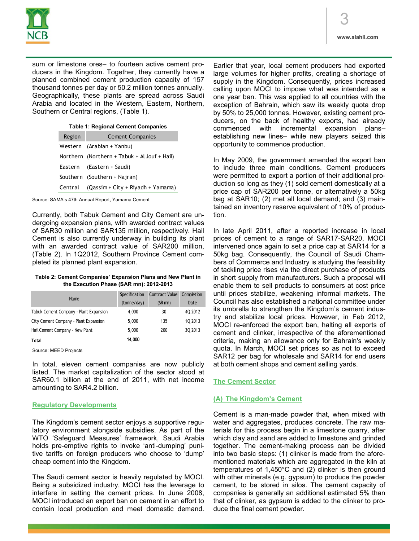

sum or limestone ores– to fourteen active cement producers in the Kingdom. Together, they currently have a planned combined cement production capacity of 157 thousand tonnes per day or 50.2 million tonnes annually. Geographically, these plants are spread across Saudi Arabia and located in the Western, Eastern, Northern, Southern or Central regions, (Table 1).

#### **Table 1: Regional Cement Companies**

| Region                       | <b>Cement Companies</b>                      |  |
|------------------------------|----------------------------------------------|--|
|                              | Western (Arabian + Yanbu)                    |  |
|                              | Northern (Northern + Tabuk + Al Jouf + Hail) |  |
|                              | Eastern (Eastern + Saudi)                    |  |
| Southern (Southern + Najran) |                                              |  |
|                              | Central (Qassim + City + Riyadh + Yamama)    |  |

Source: SAMA's 47th Annual Report, Yamama Cement

Currently, both Tabuk Cement and City Cement are undergoing expansion plans, with awarded contract values of SAR30 million and SAR135 million, respectively. Hail Cement is also currently underway in building its plant with an awarded contract value of SAR200 million, (Table 2). In 1Q2012, Southern Province Cement completed its planned plant expansion.

#### **Table 2: Cement Companies' Expansion Plans and New Plant in the Execution Phase (SAR mn): 2012-2013**

| Name                                   | Specification | <b>Contract Value</b> | Completion |
|----------------------------------------|---------------|-----------------------|------------|
|                                        | (tonne/day)   | $(SR$ mn)             | Date       |
| Tabuk Cement Company - Plant Expansion | 4,000         | 30                    | 40 2012    |
| City Cement Company - Plant Expansion  | 5,000         | 135                   | 10 2013    |
| Hail Cement Company - New Plant        | 5,000         | 200                   | 3Q 2013    |
| <b>Total</b>                           | 14.000        |                       |            |

Source: MEED Projects

In total, eleven cement companies are now publicly listed. The market capitalization of the sector stood at SAR60.1 billion at the end of 2011, with net income amounting to SAR4.2 billion.

## **Regulatory Developments**

The Kingdom's cement sector enjoys a supportive regulatory environment alongside subsidies. As part of the WTO 'Safeguard Measures' framework, Saudi Arabia holds pre-emptive rights to invoke 'anti-dumping' punitive tariffs on foreign producers who choose to 'dump' cheap cement into the Kingdom.

The Saudi cement sector is heavily regulated by MOCI. Being a subsidized industry, MOCI has the leverage to interfere in setting the cement prices. In June 2008, MOCI introduced an export ban on cement in an effort to contain local production and meet domestic demand. Earlier that year, local cement producers had exported large volumes for higher profits, creating a shortage of supply in the Kingdom. Consequently, prices increased calling upon MOCI to impose what was intended as a one year ban. This was applied to all countries with the exception of Bahrain, which saw its weekly quota drop by 50% to 25,000 tonnes. However, existing cement producers, on the back of healthy exports, had already commenced with incremental expansion plans– establishing new lines– while new players seized this opportunity to commence production.

In May 2009, the government amended the export ban to include three main conditions. Cement producers were permitted to export a portion of their additional production so long as they (1) sold cement domestically at a price cap of SAR200 per tonne, or alternatively a 50kg bag at SAR10; (2) met all local demand; and (3) maintained an inventory reserve equivalent of 10% of production.

In late April 2011, after a reported increase in local prices of cement to a range of SAR17-SAR20, MOCI intervened once again to set a price cap at SAR14 for a 50kg bag. Consequently, the Council of Saudi Chambers of Commerce and Industry is studying the feasibility of tackling price rises via the direct purchase of products in short supply from manufacturers. Such a proposal will enable them to sell products to consumers at cost price until prices stabilize, weakening informal markets. The Council has also established a national committee under its umbrella to strengthen the Kingdom's cement industry and stabilize local prices. However, in Feb 2012, MOCI re-enforced the export ban, halting all exports of cement and clinker, irrespective of the aforementioned criteria, making an allowance only for Bahrain's weekly quota. In March, MOCI set prices so as not to exceed SAR12 per bag for wholesale and SAR14 for end users at both cement shops and cement selling yards.

## **The Cement Sector**

## **(A) The Kingdom's Cement**

Cement is a man-made powder that, when mixed with water and aggregates, produces concrete. The raw materials for this process begin in a limestone quarry, after which clay and sand are added to limestone and grinded together. The cement-making process can be divided into two basic steps: (1) clinker is made from the aforementioned materials which are aggregated in the kiln at temperatures of 1,450°C and (2) clinker is then ground with other minerals (e.g. gypsum) to produce the powder cement, to be stored in silos. The cement capacity of companies is generally an additional estimated 5% than that of clinker, as gypsum is added to the clinker to produce the final cement powder.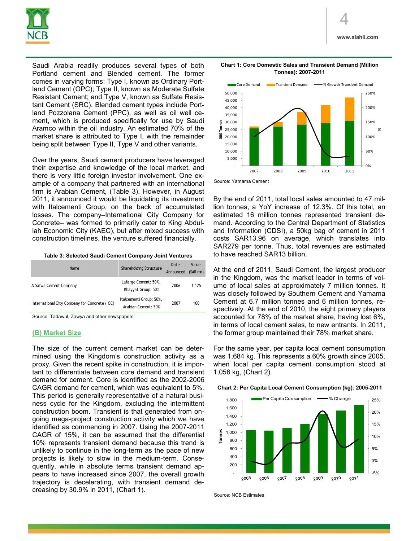

Saudi Arabia readily produces several types of both Portland cement and Blended cement. The former comes in varying forms: Type I, known as Ordinary Portland Cement (OPC); Type II, known as Moderate Sulfate Resistant Cement; and Type V, known as Sulfate Resistant Cement (SRC). Blended cement types include Portland Pozzolana Cement (PPC), as well as oil well cement, which is produced specifically for use by Saudi Aramco within the oil industry. An estimated 70% of the market share is attributed to Type I, with the remainder

Over the years, Saudi cement producers have leveraged their expertise and knowledge of the local market, and there is very little foreign investor involvement. One example of a company that partnered with an international firm is Arabian Cement, (Table 3). However, in August 2011, it announced it would be liquidating its investment with Italcementi Group, on the back of accumulated losses. The company–International City Company for Concrete– was formed to primarily cater to King Abdullah Economic City (KAEC), but after mixed success with construction timelines, the venture suffered financially.

being split between Type II, Type V and other variants.

**Table 3: Selected Saudi Cement Company Joint Ventures**

| Name                                          | Shareholding Structure                         | Date<br>Announced | Value<br>$(SAR$ mn) |
|-----------------------------------------------|------------------------------------------------|-------------------|---------------------|
| Al Safwa Cement Company                       | Lafarge Cement: 50%,<br>Khayyat Group: 50%     | 2006              | 1.125               |
| International City Company for Concrete (ICC) | Italcementi Group: 50%,<br>Arabian Cement: 50% | 2007              | 100                 |

Source: Tadawul, Zawya and other newspapers

#### **(B) Market Size**

The size of the current cement market can be determined using the Kingdom's construction activity as a proxy. Given the recent spike in construction, it is important to differentiate between core demand and transient demand for cement. Core is identified as the 2002-2006 CAGR demand for cement, which was equivalent to 5%. This period is generally representative of a natural business cycle for the Kingdom, excluding the intermittent construction boom. Transient is that generated from ongoing mega-project construction activity which we have identified as commencing in 2007. Using the 2007-2011 CAGR of 15%, it can be assumed that the differential 10% represents transient demand because this trend is unlikely to continue in the long-term as the pace of new projects is likely to slow in the medium-term. Consequently, while in absolute terms transient demand appears to have increased since 2007, the overall growth trajectory is decelerating, with transient demand decreasing by 30.9% in 2011, (Chart 1).



By the end of 2011, total local sales amounted to 47 million tonnes, a YoY increase of 12.3%. Of this total, an estimated 16 million tonnes represented transient demand. According to the Central Department of Statistics and Information (CDSI), a 50kg bag of cement in 2011 costs SAR13.96 on average, which translates into SAR279 per tonne. Thus, total revenues are estimated to have reached SAR13 billion.

At the end of 2011, Saudi Cement, the largest producer in the Kingdom, was the market leader in terms of volume of local sales at approximately 7 million tonnes. It was closely followed by Southern Cement and Yamama Cement at 6.7 million tonnes and 6 million tonnes, respectively. At the end of 2010, the eight primary players accounted for 78% of the market share, having lost 6%, in terms of local cement sales, to new entrants. In 2011, the former group maintained their 78% market share.

For the same year, per capita local cement consumption was 1,684 kg. This represents a 60% growth since 2005, when local per capita cement consumption stood at 1,056 kg, (Chart 2).





Source: NCB Estimates

**Chart 1: Core Domestic Sales and Transient Demand (Million Tonnes): 2007-2011**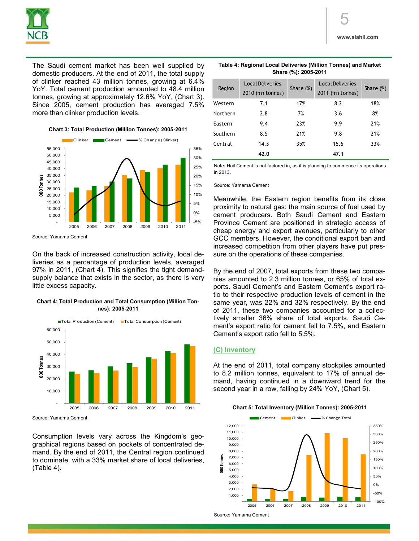

The Saudi cement market has been well supplied by domestic producers. At the end of 2011, the total supply of clinker reached 43 million tonnes, growing at 6.4% YoY. Total cement production amounted to 48.4 million tonnes, growing at approximately 12.6% YoY, (Chart 3). Since 2005, cement production has averaged 7.5% more than clinker production levels.

**Chart 3: Total Production (Million Tonnes): 2005-2011**



Source: Yamama Cement

On the back of increased construction activity, local deliveries as a percentage of production levels, averaged 97% in 2011, (Chart 4). This signifies the tight demandsupply balance that exists in the sector, as there is very little excess capacity.

**Chart 4: Total Production and Total Consumption (Million Tonnes): 2005-2011**



Source: Yamama Cement

Consumption levels vary across the Kingdom's geographical regions based on pockets of concentrated demand. By the end of 2011, the Central region continued to dominate, with a 33% market share of local deliveries, (Table 4).

| Table 4: Regional Local Deliveries (Million Tonnes) and Market |
|----------------------------------------------------------------|
| Share (%): 2005-2011                                           |

| Region   | <b>Local Deliveries</b><br>2010 (mn tonnes) | Share $(\%)$ | <b>Local Deliveries</b><br>2011 (mn tonnes) | Share $(\%)$ |
|----------|---------------------------------------------|--------------|---------------------------------------------|--------------|
| Western  | 7.1                                         | 17%          | 8.2                                         | 18%          |
| Northern | 2.8                                         | 7%           | 3.6                                         | 8%           |
| Eastern  | 9.4                                         | 23%          | 9.9                                         | 21%          |
| Southern | 8.5                                         | 21%          | 9.8                                         | 21%          |
| Central  | 14.3                                        | 35%          | 15.6                                        | 33%          |
|          | 42.0                                        |              | 47.1                                        |              |

Note: Hail Cement is not factored in, as it is planning to commence its operations in 2013.

Source: Yamama Cement

Meanwhile, the Eastern region benefits from its close proximity to natural gas: the main source of fuel used by cement producers. Both Saudi Cement and Eastern Province Cement are positioned in strategic access of cheap energy and export avenues, particularly to other GCC members. However, the conditional export ban and increased competition from other players have put pressure on the operations of these companies.

By the end of 2007, total exports from these two companies amounted to 2.3 million tonnes, or 65% of total exports. Saudi Cement's and Eastern Cement's export ratio to their respective production levels of cement in the same year, was 22% and 32% respectively. By the end of 2011, these two companies accounted for a collectively smaller 36% share of total exports. Saudi Cement's export ratio for cement fell to 7.5%, and Eastern Cement's export ratio fell to 5.5%.

## **(C) Inventory**

At the end of 2011, total company stockpiles amounted to 8.2 million tonnes, equivalent to 17% of annual demand, having continued in a downward trend for the second year in a row, falling by 24% YoY, (Chart 5).

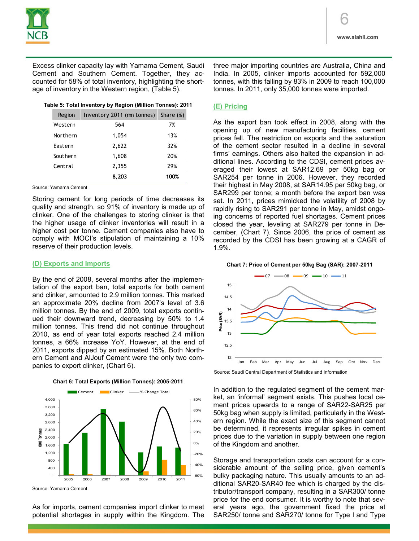

Excess clinker capacity lay with Yamama Cement, Saudi Cement and Southern Cement. Together, they accounted for 58% of total inventory, highlighting the shortage of inventory in the Western region, (Table 5).

#### **Table 5: Total Inventory by Region (Million Tonnes): 2011**

| Region   | Inventory 2011 (mn tonnes) | Share $(\%)$ |  |
|----------|----------------------------|--------------|--|
| Western  | 564                        | 7%           |  |
| Northern | 1,054                      | 13%          |  |
| Eastern  | 2,622                      | 32%          |  |
| Southern | 1,608                      | 20%          |  |
| Central  | 2,355                      | 29%          |  |
|          | 8,203                      | 100%         |  |

Source: Yamama Cement

Storing cement for long periods of time decreases its quality and strength, so 91% of inventory is made up of clinker. One of the challenges to storing clinker is that the higher usage of clinker inventories will result in a higher cost per tonne. Cement companies also have to comply with MOCI's stipulation of maintaining a 10% reserve of their production levels.

#### **(D) Exports and Imports**

By the end of 2008, several months after the implementation of the export ban, total exports for both cement and clinker, amounted to 2.9 million tonnes. This marked an approximate 20% decline from 2007's level of 3.6 million tonnes. By the end of 2009, total exports continued their downward trend, decreasing by 50% to 1.4 million tonnes. This trend did not continue throughout 2010, as end of year total exports reached 2.4 million tonnes, a 66% increase YoY. However, at the end of 2011, exports dipped by an estimated 15%. Both Northern Cement and AlJouf Cement were the only two companies to export clinker, (Chart 6).



**Chart 6: Total Exports (Million Tonnes): 2005-2011**

As for imports, cement companies import clinker to meet potential shortages in supply within the Kingdom. The

three major importing countries are Australia, China and India. In 2005, clinker imports accounted for 592,000 tonnes, with this falling by 83% in 2009 to reach 100,000 tonnes. In 2011, only 35,000 tonnes were imported.

### **(E) Pricing**

As the export ban took effect in 2008, along with the opening up of new manufacturing facilities, cement prices fell. The restriction on exports and the saturation of the cement sector resulted in a decline in several firms' earnings. Others also halted the expansion in additional lines. According to the CDSI, cement prices averaged their lowest at SAR12.69 per 50kg bag or SAR254 per tonne in 2006. However, they recorded their highest in May 2008, at SAR14.95 per 50kg bag, or SAR299 per tonne; a month before the export ban was set. In 2011, prices mimicked the volatility of 2008 by rapidly rising to SAR291 per tonne in May, amidst ongoing concerns of reported fuel shortages. Cement prices closed the year, leveling at SAR279 per tonne in December, (Chart 7). Since 2006, the price of cement as recorded by the CDSI has been growing at a CAGR of 1.9%.

#### **Chart 7: Price of Cement per 50kg Bag (SAR): 2007-2011**



Source: Saudi Central Department of Statistics and Information

In addition to the regulated segment of the cement market, an 'informal' segment exists. This pushes local cement prices upwards to a range of SAR22-SAR25 per 50kg bag when supply is limited, particularly in the Western region. While the exact size of this segment cannot be determined, it represents irregular spikes in cement prices due to the variation in supply between one region of the Kingdom and another.

Storage and transportation costs can account for a considerable amount of the selling price, given cement's bulky packaging nature. This usually amounts to an additional SAR20-SAR40 fee which is charged by the distributor/transport company, resulting in a SAR300/ tonne price for the end consumer. It is worthy to note that several years ago, the government fixed the price at SAR250/ tonne and SAR270/ tonne for Type I and Type

Source: Yamama Cement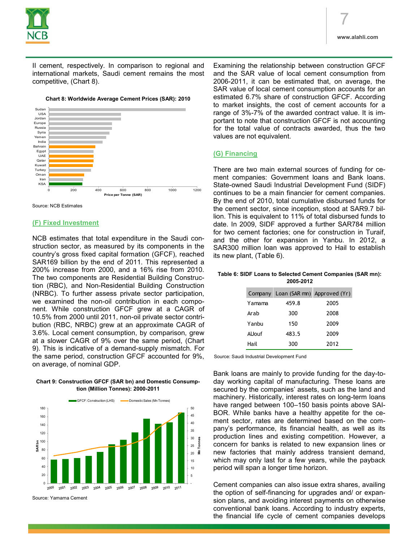

II cement, respectively. In comparison to regional and international markets, Saudi cement remains the most competitive, (Chart 8).





Source: NCB Estimates

#### **(F) Fixed Investment**

NCB estimates that total expenditure in the Saudi construction sector, as measured by its components in the country's gross fixed capital formation (GFCF), reached SAR169 billion by the end of 2011. This represented a 200% increase from 2000, and a 16% rise from 2010. The two components are Residential Building Construction (RBC), and Non-Residential Building Construction (NRBC). To further assess private sector participation, we examined the non-oil contribution in each component. While construction GFCF grew at a CAGR of 10.5% from 2000 until 2011, non-oil private sector contribution (RBC, NRBC) grew at an approximate CAGR of 3.6%. Local cement consumption, by comparison, grew at a slower CAGR of 9% over the same period, (Chart 9). This is indicative of a demand-supply mismatch. For the same period, construction GFCF accounted for 9%, on average, of nominal GDP.



2005 2006 2007 2008 2009 2010

**Chart 9: Construction GFCF (SAR bn) and Domestic Consumption (Million Tonnes): 2000-2011**

Examining the relationship between construction GFCF and the SAR value of local cement consumption from 2006-2011, it can be estimated that, on average, the SAR value of local cement consumption accounts for an estimated 6.7% share of construction GFCF. According to market insights, the cost of cement accounts for a range of 3%-7% of the awarded contract value. It is important to note that construction GFCF is not accounting for the total value of contracts awarded, thus the two values are not equivalent.

#### **(G) Financing**

There are two main external sources of funding for cement companies: Government loans and Bank loans. State-owned Saudi Industrial Development Fund (SIDF) continues to be a main financier for cement companies. By the end of 2010, total cumulative disbursed funds for the cement sector, since inception, stood at SAR9.7 billion. This is equivalent to 11% of total disbursed funds to date. In 2009, SIDF approved a further SAR784 million for two cement factories; one for construction in Turaif, and the other for expansion in Yanbu. In 2012, a SAR300 million loan was approved to Hail to establish its new plant, (Table 6).

#### **Table 6: SIDF Loans to Selected Cement Companies (SAR mn): 2005-2012**

|        | Company Loan (SAR mn) Approved (Yr) |      |
|--------|-------------------------------------|------|
| Yamama | 459.8                               | 2005 |
| Arab   | 300                                 | 2008 |
| Yanbu  | 150                                 | 2009 |
| AlJouf | 483.5                               | 2009 |
| Hail   | 300                                 | 2012 |

Source: Saudi Industrial Development Fund

Bank loans are mainly to provide funding for the day-today working capital of manufacturing. These loans are secured by the companies' assets, such as the land and machinery. Historically, interest rates on long-term loans have ranged between 100–150 basis points above SAI-BOR. While banks have a healthy appetite for the cement sector, rates are determined based on the company's performance, its financial health, as well as its production lines and existing competition. However, a concern for banks is related to new expansion lines or new factories that mainly address transient demand, which may only last for a few years, while the payback period will span a longer time horizon.

Cement companies can also issue extra shares, availing the option of self-financing for upgrades and/ or expansion plans, and avoiding interest payments on otherwise conventional bank loans. According to industry experts, the financial life cycle of cement companies develops

 $2001$ Source: Yamama Cement

 $2002$  $2003$ 2004

 $000c$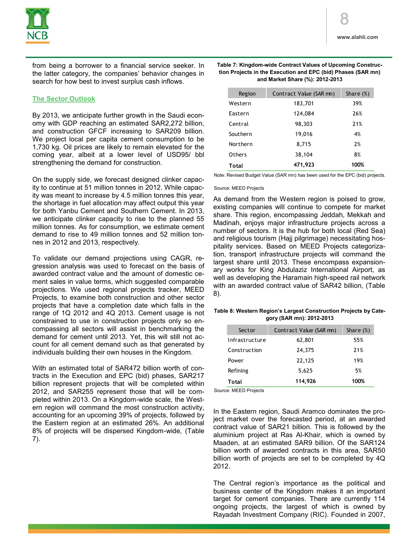

from being a borrower to a financial service seeker. In the latter category, the companies' behavior changes in search for how best to invest surplus cash inflows.

### **The Sector Outlook**

By 2013, we anticipate further growth in the Saudi economy with GDP reaching an estimated SAR2,272 billion, and construction GFCF increasing to SAR209 billion. We project local per capita cement consumption to be 1,730 kg. Oil prices are likely to remain elevated for the coming year, albeit at a lower level of USD95/ bbl strengthening the demand for construction.

On the supply side, we forecast designed clinker capacity to continue at 51 million tonnes in 2012. While capacity was meant to increase by 4.5 million tonnes this year, the shortage in fuel allocation may affect output this year for both Yanbu Cement and Southern Cement. In 2013, we anticipate clinker capacity to rise to the planned 55 million tonnes. As for consumption, we estimate cement demand to rise to 49 million tonnes and 52 million tonnes in 2012 and 2013, respectively.

To validate our demand projections using CAGR, regression analysis was used to forecast on the basis of awarded contract value and the amount of domestic cement sales in value terms, which suggested comparable projections. We used regional projects tracker, MEED Projects, to examine both construction and other sector projects that have a completion date which falls in the range of 1Q 2012 and 4Q 2013. Cement usage is not constrained to use in construction projects only so encompassing all sectors will assist in benchmarking the demand for cement until 2013. Yet, this will still not account for all cement demand such as that generated by individuals building their own houses in the Kingdom.

With an estimated total of SAR472 billion worth of contracts in the Execution and EPC (bid) phases, SAR217 billion represent projects that will be completed within 2012, and SAR255 represent those that will be completed within 2013. On a Kingdom-wide scale, the Western region will command the most construction activity, accounting for an upcoming 39% of projects, followed by the Eastern region at an estimated 26%. An additional 8% of projects will be dispersed Kingdom-wide, (Table 7).

| Table 7: Kingdom-wide Contract Values of Upcoming Construc-  |
|--------------------------------------------------------------|
| tion Projects in the Execution and EPC (bid) Phases (SAR mn) |
| and Market Share (%): 2012-2013                              |

| Region   | Contract Value (SAR mn) | Share $(\%)$ |
|----------|-------------------------|--------------|
| Western  | 183,701                 | 39%          |
| Eastern  | 124,084                 | 26%          |
| Central  | 98,303                  | 21%          |
| Southern | 19,016                  | 4%           |
| Northern | 8,715                   | 2%           |
| Others   | 38,104                  | 8%           |
| Total    | 471,923                 | 100%         |

Note: Revised Budget Value (SAR mn) has been used for the EPC (bid) projects.

#### Source: MEED Projects

As demand from the Western region is poised to grow, existing companies will continue to compete for market share. This region, encompassing Jeddah, Mekkah and Madinah, enjoys major infrastructure projects across a number of sectors. It is the hub for both local (Red Sea) and religious tourism (Hajj pilgrimage) necessitating hospitality services. Based on MEED Projects categorization, transport infrastructure projects will command the largest share until 2013. These encompass expansionary works for King Abdulaziz International Airport, as well as developing the Haramain high-speed rail network with an awarded contract value of SAR42 billion, (Table 8).

#### **Table 8: Western Region's Largest Construction Projects by Category (SAR mn): 2012-2013**

| Sector         | Contract Value (SAR mn) | Share $(\%)$ |
|----------------|-------------------------|--------------|
| Infrastructure | 62,801                  | 55%          |
| Construction   | 24,375                  | 21%          |
| Power          | 22,125                  | 19%          |
| Refining       | 5,625                   | 5%           |
| Total          | 114,926                 | 100%         |

Source: MEED Projects

In the Eastern region, Saudi Aramco dominates the project market over the forecasted period, at an awarded contract value of SAR21 billion. This is followed by the aluminium project at Ras Al-Khair, which is owned by Maaden, at an estimated SAR9 billion. Of the SAR124 billion worth of awarded contracts in this area, SAR50 billion worth of projects are set to be completed by 4Q 2012.

The Central region's importance as the political and business center of the Kingdom makes it an important target for cement companies. There are currently 114 ongoing projects, the largest of which is owned by Rayadah Investment Company (RIC). Founded in 2007,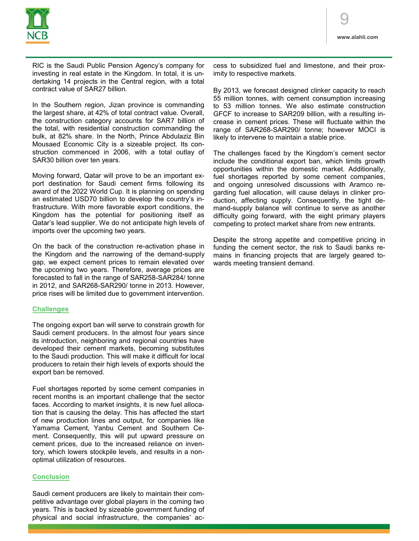

RIC is the Saudi Public Pension Agency's company for investing in real estate in the Kingdom. In total, it is undertaking 14 projects in the Central region, with a total contract value of SAR27 billion.

In the Southern region, Jizan province is commanding the largest share, at 42% of total contract value. Overall, the construction category accounts for SAR7 billion of the total, with residential construction commanding the bulk, at 82% share. In the North, Prince Abdulaziz Bin Mousaed Economic City is a sizeable project. Its construction commenced in 2006, with a total outlay of SAR30 billion over ten years.

Moving forward, Qatar will prove to be an important export destination for Saudi cement firms following its award of the 2022 World Cup. It is planning on spending an estimated USD70 billion to develop the country's infrastructure. With more favorable export conditions, the Kingdom has the potential for positioning itself as Qatar's lead supplier. We do not anticipate high levels of imports over the upcoming two years.

On the back of the construction re-activation phase in the Kingdom and the narrowing of the demand-supply gap, we expect cement prices to remain elevated over the upcoming two years. Therefore, average prices are forecasted to fall in the range of SAR258-SAR284/ tonne in 2012, and SAR268-SAR290/ tonne in 2013. However, price rises will be limited due to government intervention.

#### **Challenges**

The ongoing export ban will serve to constrain growth for Saudi cement producers. In the almost four years since its introduction, neighboring and regional countries have developed their cement markets, becoming substitutes to the Saudi production. This will make it difficult for local producers to retain their high levels of exports should the export ban be removed.

Fuel shortages reported by some cement companies in recent months is an important challenge that the sector faces. According to market insights, it is new fuel allocation that is causing the delay. This has affected the start of new production lines and output, for companies like Yamama Cement, Yanbu Cement and Southern Cement. Consequently, this will put upward pressure on cement prices, due to the increased reliance on inventory, which lowers stockpile levels, and results in a nonoptimal utilization of resources.

## **Conclusion**

Saudi cement producers are likely to maintain their competitive advantage over global players in the coming two years. This is backed by sizeable government funding of physical and social infrastructure, the companies' ac-

cess to subsidized fuel and limestone, and their proximity to respective markets.

By 2013, we forecast designed clinker capacity to reach 55 million tonnes, with cement consumption increasing to 53 million tonnes. We also estimate construction GFCF to increase to SAR209 billion, with a resulting increase in cement prices. These will fluctuate within the range of SAR268-SAR290/ tonne; however MOCI is likely to intervene to maintain a stable price.

The challenges faced by the Kingdom's cement sector include the conditional export ban, which limits growth opportunities within the domestic market. Additionally, fuel shortages reported by some cement companies, and ongoing unresolved discussions with Aramco regarding fuel allocation, will cause delays in clinker production, affecting supply. Consequently, the tight demand-supply balance will continue to serve as another difficulty going forward, with the eight primary players competing to protect market share from new entrants.

Despite the strong appetite and competitive pricing in funding the cement sector, the risk to Saudi banks remains in financing projects that are largely geared towards meeting transient demand.